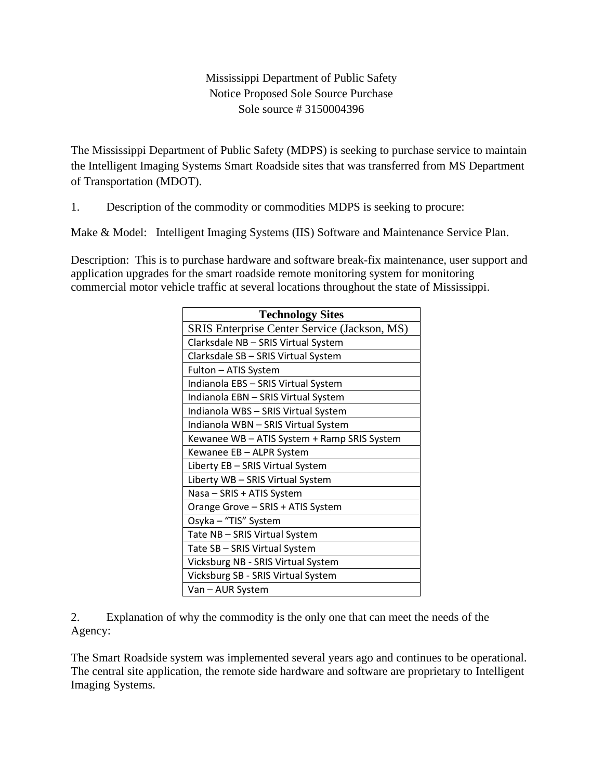## Mississippi Department of Public Safety Notice Proposed Sole Source Purchase Sole source # 3150004396

The Mississippi Department of Public Safety (MDPS) is seeking to purchase service to maintain the Intelligent Imaging Systems Smart Roadside sites that was transferred from MS Department of Transportation (MDOT).

1. Description of the commodity or commodities MDPS is seeking to procure:

Make & Model: Intelligent Imaging Systems (IIS) Software and Maintenance Service Plan.

Description: This is to purchase hardware and software break-fix maintenance, user support and application upgrades for the smart roadside remote monitoring system for monitoring commercial motor vehicle traffic at several locations throughout the state of Mississippi.

| <b>Technology Sites</b>                      |  |  |
|----------------------------------------------|--|--|
| SRIS Enterprise Center Service (Jackson, MS) |  |  |
| Clarksdale NB - SRIS Virtual System          |  |  |
| Clarksdale SB - SRIS Virtual System          |  |  |
| Fulton - ATIS System                         |  |  |
| Indianola EBS - SRIS Virtual System          |  |  |
| Indianola EBN - SRIS Virtual System          |  |  |
| Indianola WBS - SRIS Virtual System          |  |  |
| Indianola WBN - SRIS Virtual System          |  |  |
| Kewanee WB - ATIS System + Ramp SRIS System  |  |  |
| Kewanee EB - ALPR System                     |  |  |
| Liberty EB - SRIS Virtual System             |  |  |
| Liberty WB - SRIS Virtual System             |  |  |
| Nasa - SRIS + ATIS System                    |  |  |
| Orange Grove - SRIS + ATIS System            |  |  |
| Osyka - "TIS" System                         |  |  |
| Tate NB - SRIS Virtual System                |  |  |
| Tate SB - SRIS Virtual System                |  |  |
| Vicksburg NB - SRIS Virtual System           |  |  |
| Vicksburg SB - SRIS Virtual System           |  |  |
| Van - AUR System                             |  |  |

2. Explanation of why the commodity is the only one that can meet the needs of the Agency:

The Smart Roadside system was implemented several years ago and continues to be operational. The central site application, the remote side hardware and software are proprietary to Intelligent Imaging Systems.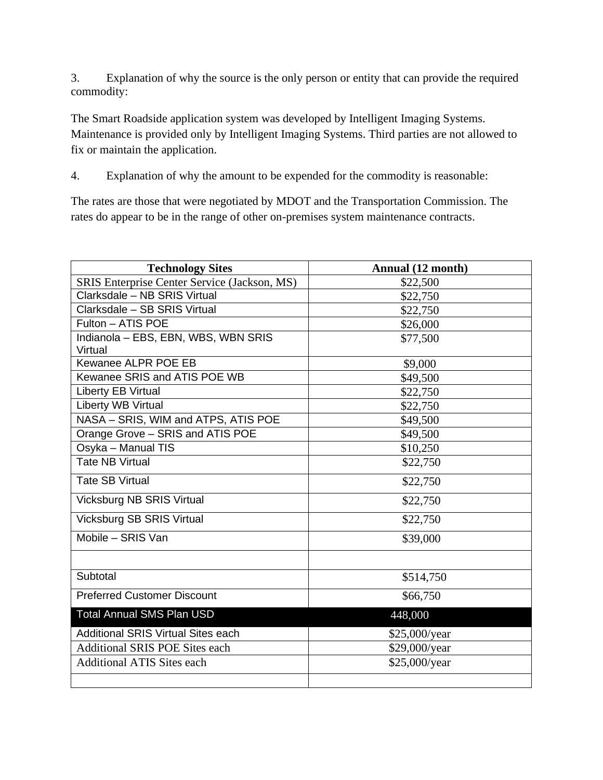3. Explanation of why the source is the only person or entity that can provide the required commodity:

The Smart Roadside application system was developed by Intelligent Imaging Systems. Maintenance is provided only by Intelligent Imaging Systems. Third parties are not allowed to fix or maintain the application.

4. Explanation of why the amount to be expended for the commodity is reasonable:

The rates are those that were negotiated by MDOT and the Transportation Commission. The rates do appear to be in the range of other on-premises system maintenance contracts.

| <b>Technology Sites</b>                      | Annual (12 month) |
|----------------------------------------------|-------------------|
| SRIS Enterprise Center Service (Jackson, MS) | \$22,500          |
| Clarksdale - NB SRIS Virtual                 | \$22,750          |
| Clarksdale - SB SRIS Virtual                 | \$22,750          |
| Fulton - ATIS POE                            | \$26,000          |
| Indianola - EBS, EBN, WBS, WBN SRIS          | \$77,500          |
| Virtual                                      |                   |
| Kewanee ALPR POE EB                          | \$9,000           |
| Kewanee SRIS and ATIS POE WB                 | \$49,500          |
| Liberty EB Virtual                           | \$22,750          |
| <b>Liberty WB Virtual</b>                    | \$22,750          |
| NASA - SRIS, WIM and ATPS, ATIS POE          | \$49,500          |
| Orange Grove - SRIS and ATIS POE             | \$49,500          |
| Osyka - Manual TIS                           | \$10,250          |
| <b>Tate NB Virtual</b>                       | \$22,750          |
| <b>Tate SB Virtual</b>                       | \$22,750          |
| <b>Vicksburg NB SRIS Virtual</b>             | \$22,750          |
| <b>Vicksburg SB SRIS Virtual</b>             | \$22,750          |
| Mobile - SRIS Van                            | \$39,000          |
|                                              |                   |
| Subtotal                                     | \$514,750         |
| <b>Preferred Customer Discount</b>           | \$66,750          |
| <b>Total Annual SMS Plan USD</b>             | 448,000           |
| <b>Additional SRIS Virtual Sites each</b>    | \$25,000/year     |
| <b>Additional SRIS POE Sites each</b>        | \$29,000/year     |
| <b>Additional ATIS Sites each</b>            | \$25,000/year     |
|                                              |                   |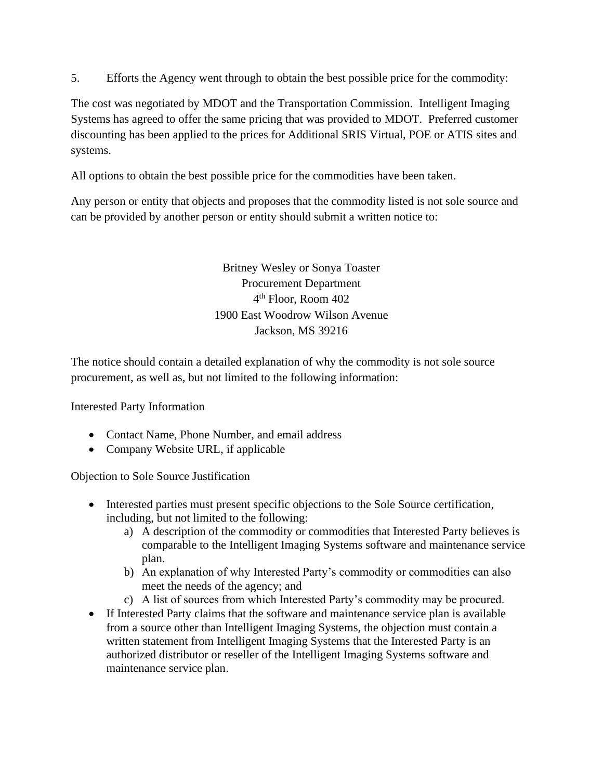5. Efforts the Agency went through to obtain the best possible price for the commodity:

The cost was negotiated by MDOT and the Transportation Commission. Intelligent Imaging Systems has agreed to offer the same pricing that was provided to MDOT. Preferred customer discounting has been applied to the prices for Additional SRIS Virtual, POE or ATIS sites and systems.

All options to obtain the best possible price for the commodities have been taken.

Any person or entity that objects and proposes that the commodity listed is not sole source and can be provided by another person or entity should submit a written notice to:

> Britney Wesley or Sonya Toaster Procurement Department 4 th Floor, Room 402 1900 East Woodrow Wilson Avenue Jackson, MS 39216

The notice should contain a detailed explanation of why the commodity is not sole source procurement, as well as, but not limited to the following information:

Interested Party Information

- Contact Name, Phone Number, and email address
- Company Website URL, if applicable

Objection to Sole Source Justification

- Interested parties must present specific objections to the Sole Source certification, including, but not limited to the following:
	- a) A description of the commodity or commodities that Interested Party believes is comparable to the Intelligent Imaging Systems software and maintenance service plan.
	- b) An explanation of why Interested Party's commodity or commodities can also meet the needs of the agency; and
	- c) A list of sources from which Interested Party's commodity may be procured.
- If Interested Party claims that the software and maintenance service plan is available from a source other than Intelligent Imaging Systems, the objection must contain a written statement from Intelligent Imaging Systems that the Interested Party is an authorized distributor or reseller of the Intelligent Imaging Systems software and maintenance service plan.